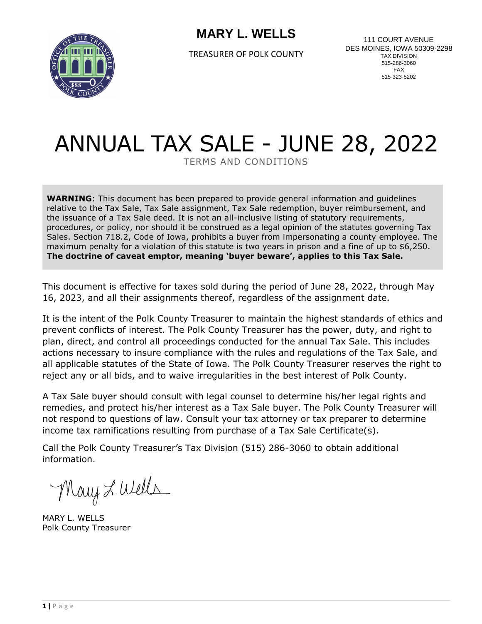

TREASURER OF POLK COUNTY

111 COURT AVENUE DES MOINES, IOWA 50309-2298 TAX DIVISION 515-286-3060 FAX 515-323-5202

# ANNUAL TAX SALE - JUNE 28, 2022

TERMS AND CONDITIONS

**WARNING**: This document has been prepared to provide general information and guidelines relative to the Tax Sale, Tax Sale assignment, Tax Sale redemption, buyer reimbursement, and the issuance of a Tax Sale deed. It is not an all-inclusive listing of statutory requirements, procedures, or policy, nor should it be construed as a legal opinion of the statutes governing Tax Sales. Section 718.2, Code of Iowa, prohibits a buyer from impersonating a county employee. The maximum penalty for a violation of this statute is two years in prison and a fine of up to \$6,250. **The doctrine of caveat emptor, meaning 'buyer beware', applies to this Tax Sale.**

This document is effective for taxes sold during the period of June 28, 2022, through May 16, 2023, and all their assignments thereof, regardless of the assignment date.

It is the intent of the Polk County Treasurer to maintain the highest standards of ethics and prevent conflicts of interest. The Polk County Treasurer has the power, duty, and right to plan, direct, and control all proceedings conducted for the annual Tax Sale. This includes actions necessary to insure compliance with the rules and regulations of the Tax Sale, and all applicable statutes of the State of Iowa. The Polk County Treasurer reserves the right to reject any or all bids, and to waive irregularities in the best interest of Polk County.

A Tax Sale buyer should consult with legal counsel to determine his/her legal rights and remedies, and protect his/her interest as a Tax Sale buyer. The Polk County Treasurer will not respond to questions of law. Consult your tax attorney or tax preparer to determine income tax ramifications resulting from purchase of a Tax Sale Certificate(s).

Call the Polk County Treasurer's Tax Division (515) 286-3060 to obtain additional information.

Mary L. Wells

MARY L. WELLS Polk County Treasurer

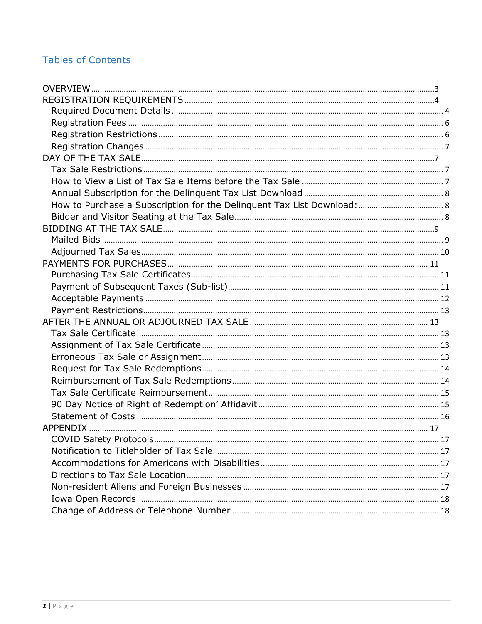# **Tables of Contents**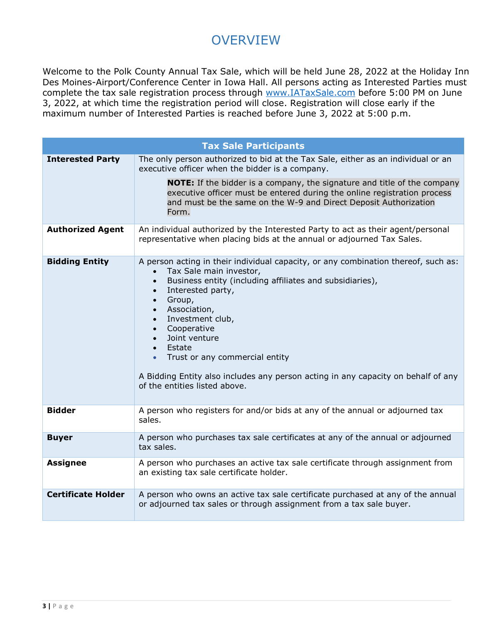# **OVERVIEW**

<span id="page-2-0"></span>Welcome to the Polk County Annual Tax Sale, which will be held June 28, 2022 at the Holiday Inn Des Moines-Airport/Conference Center in Iowa Hall. All persons acting as Interested Parties must complete the tax sale registration process through [www.IATaxSale.com](http://www.iataxsale.com/) before 5:00 PM on June 3, 2022, at which time the registration period will close. Registration will close early if the maximum number of Interested Parties is reached before June 3, 2022 at 5:00 p.m.

|                           | <b>Tax Sale Participants</b>                                                                                                                                                                                                                                                                                                                                                                                                                                                                                                     |
|---------------------------|----------------------------------------------------------------------------------------------------------------------------------------------------------------------------------------------------------------------------------------------------------------------------------------------------------------------------------------------------------------------------------------------------------------------------------------------------------------------------------------------------------------------------------|
| <b>Interested Party</b>   | The only person authorized to bid at the Tax Sale, either as an individual or an<br>executive officer when the bidder is a company.                                                                                                                                                                                                                                                                                                                                                                                              |
|                           | <b>NOTE:</b> If the bidder is a company, the signature and title of the company<br>executive officer must be entered during the online registration process<br>and must be the same on the W-9 and Direct Deposit Authorization<br>Form.                                                                                                                                                                                                                                                                                         |
| <b>Authorized Agent</b>   | An individual authorized by the Interested Party to act as their agent/personal<br>representative when placing bids at the annual or adjourned Tax Sales.                                                                                                                                                                                                                                                                                                                                                                        |
| <b>Bidding Entity</b>     | A person acting in their individual capacity, or any combination thereof, such as:<br>Tax Sale main investor,<br>Business entity (including affiliates and subsidiaries),<br>$\bullet$<br>Interested party,<br>$\bullet$<br>Group,<br>$\bullet$<br>Association,<br>$\bullet$<br>Investment club,<br>$\bullet$<br>• Cooperative<br>Joint venture<br>• Estate<br>Trust or any commercial entity<br>$\bullet$<br>A Bidding Entity also includes any person acting in any capacity on behalf of any<br>of the entities listed above. |
| <b>Bidder</b>             | A person who registers for and/or bids at any of the annual or adjourned tax<br>sales.                                                                                                                                                                                                                                                                                                                                                                                                                                           |
| <b>Buyer</b>              | A person who purchases tax sale certificates at any of the annual or adjourned<br>tax sales.                                                                                                                                                                                                                                                                                                                                                                                                                                     |
| <b>Assignee</b>           | A person who purchases an active tax sale certificate through assignment from<br>an existing tax sale certificate holder.                                                                                                                                                                                                                                                                                                                                                                                                        |
| <b>Certificate Holder</b> | A person who owns an active tax sale certificate purchased at any of the annual<br>or adjourned tax sales or through assignment from a tax sale buyer.                                                                                                                                                                                                                                                                                                                                                                           |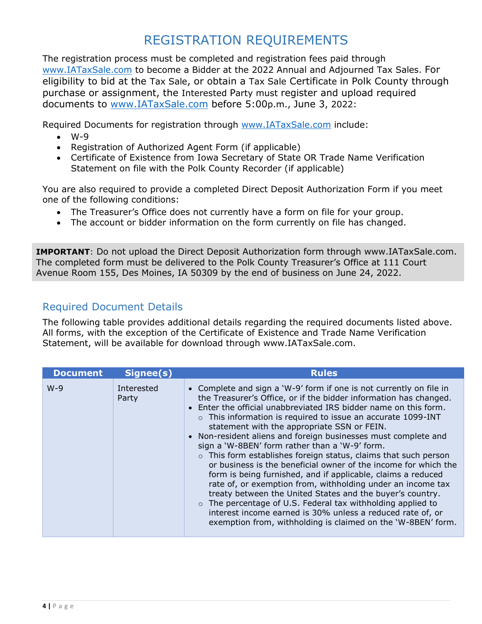# REGISTRATION REQUIREMENTS

<span id="page-3-0"></span>The registration process must be completed and registration fees paid through [www.IATaxSale.com](http://www.iataxsale.com/) to become a Bidder at the 2022 Annual and Adjourned Tax Sales. For eligibility to bid at the Tax Sale, or obtain a Tax Sale Certificate in Polk County through purchase or assignment, the Interested Party must register and upload required documents to [www.IATaxSale.com](http://www.iataxsale.com/) before 5:00p.m., June 3, 2022:

Required Documents for registration through [www.IATaxSale.com](http://www.iataxsale.com/) include:

- $\bullet$  W-9
- Registration of Authorized Agent Form (if applicable)
- Certificate of Existence from Iowa Secretary of State OR Trade Name Verification Statement on file with the Polk County Recorder (if applicable)

You are also required to provide a completed Direct Deposit Authorization Form if you meet one of the following conditions:

- The Treasurer's Office does not currently have a form on file for your group.
- The account or bidder information on the form currently on file has changed.

**IMPORTANT**: Do not upload the Direct Deposit Authorization form through www.IATaxSale.com. The completed form must be delivered to the Polk County Treasurer's Office at 111 Court Avenue Room 155, Des Moines, IA 50309 by the end of business on June 24, 2022.

# <span id="page-3-1"></span>Required Document Details

The following table provides additional details regarding the required documents listed above. All forms, with the exception of the Certificate of Existence and Trade Name Verification Statement, will be available for download through www.IATaxSale.com.

| <b>Document</b> | Signee(s)           | <b>Rules</b>                                                                                                                                                                                                                                                                                                                                                                                                                                                                                                                                                                                                                                                                                                                                                                                                                                                                                                                                                                               |
|-----------------|---------------------|--------------------------------------------------------------------------------------------------------------------------------------------------------------------------------------------------------------------------------------------------------------------------------------------------------------------------------------------------------------------------------------------------------------------------------------------------------------------------------------------------------------------------------------------------------------------------------------------------------------------------------------------------------------------------------------------------------------------------------------------------------------------------------------------------------------------------------------------------------------------------------------------------------------------------------------------------------------------------------------------|
| $W-9$           | Interested<br>Party | • Complete and sign a 'W-9' form if one is not currently on file in<br>the Treasurer's Office, or if the bidder information has changed.<br>• Enter the official unabbreviated IRS bidder name on this form.<br>o This information is required to issue an accurate 1099-INT<br>statement with the appropriate SSN or FEIN.<br>• Non-resident aliens and foreign businesses must complete and<br>sign a 'W-8BEN' form rather than a 'W-9' form.<br>$\circ$ This form establishes foreign status, claims that such person<br>or business is the beneficial owner of the income for which the<br>form is being furnished, and if applicable, claims a reduced<br>rate of, or exemption from, withholding under an income tax<br>treaty between the United States and the buyer's country.<br>$\circ$ The percentage of U.S. Federal tax withholding applied to<br>interest income earned is 30% unless a reduced rate of, or<br>exemption from, withholding is claimed on the 'W-8BEN' form. |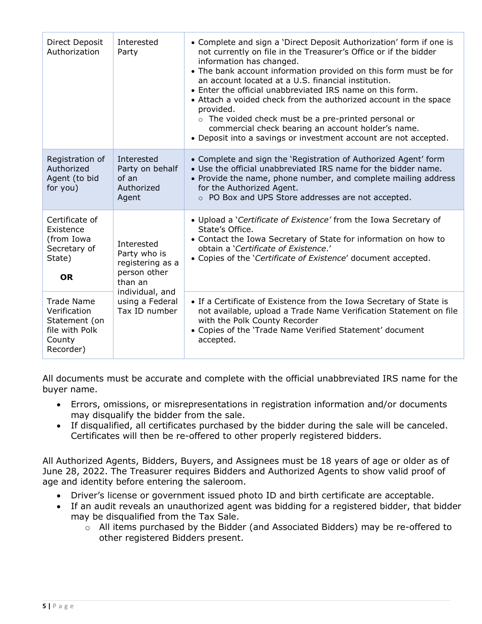| Direct Deposit<br>Authorization                                                             | Interested<br>Party                                                                                                              | • Complete and sign a 'Direct Deposit Authorization' form if one is<br>not currently on file in the Treasurer's Office or if the bidder<br>information has changed.<br>• The bank account information provided on this form must be for<br>an account located at a U.S. financial institution.<br>• Enter the official unabbreviated IRS name on this form.<br>• Attach a voided check from the authorized account in the space<br>provided.<br>o The voided check must be a pre-printed personal or<br>commercial check bearing an account holder's name.<br>• Deposit into a savings or investment account are not accepted. |
|---------------------------------------------------------------------------------------------|----------------------------------------------------------------------------------------------------------------------------------|--------------------------------------------------------------------------------------------------------------------------------------------------------------------------------------------------------------------------------------------------------------------------------------------------------------------------------------------------------------------------------------------------------------------------------------------------------------------------------------------------------------------------------------------------------------------------------------------------------------------------------|
| Registration of<br>Authorized<br>Agent (to bid<br>for you)                                  | Interested<br>Party on behalf<br>of an<br>Authorized<br>Agent                                                                    | • Complete and sign the 'Registration of Authorized Agent' form<br>• Use the official unabbreviated IRS name for the bidder name.<br>• Provide the name, phone number, and complete mailing address<br>for the Authorized Agent.<br>o PO Box and UPS Store addresses are not accepted.                                                                                                                                                                                                                                                                                                                                         |
| Certificate of<br>Existence<br>(from Iowa<br>Secretary of<br>State)<br><b>OR</b>            | Interested<br>Party who is<br>registering as a<br>person other<br>than an<br>individual, and<br>using a Federal<br>Tax ID number | • Upload a 'Certificate of Existence' from the Iowa Secretary of<br>State's Office.<br>• Contact the Iowa Secretary of State for information on how to<br>obtain a 'Certificate of Existence.'<br>• Copies of the 'Certificate of Existence' document accepted.                                                                                                                                                                                                                                                                                                                                                                |
| <b>Trade Name</b><br>Verification<br>Statement (on<br>file with Polk<br>County<br>Recorder) |                                                                                                                                  | • If a Certificate of Existence from the Iowa Secretary of State is<br>not available, upload a Trade Name Verification Statement on file<br>with the Polk County Recorder<br>• Copies of the 'Trade Name Verified Statement' document<br>accepted.                                                                                                                                                                                                                                                                                                                                                                             |

All documents must be accurate and complete with the official unabbreviated IRS name for the buyer name.

- Errors, omissions, or misrepresentations in registration information and/or documents may disqualify the bidder from the sale.
- If disqualified, all certificates purchased by the bidder during the sale will be canceled. Certificates will then be re-offered to other properly registered bidders.

All Authorized Agents, Bidders, Buyers, and Assignees must be 18 years of age or older as of June 28, 2022. The Treasurer requires Bidders and Authorized Agents to show valid proof of age and identity before entering the saleroom.

- Driver's license or government issued photo ID and birth certificate are acceptable.
- If an audit reveals an unauthorized agent was bidding for a registered bidder, that bidder may be disqualified from the Tax Sale.
	- o All items purchased by the Bidder (and Associated Bidders) may be re-offered to other registered Bidders present.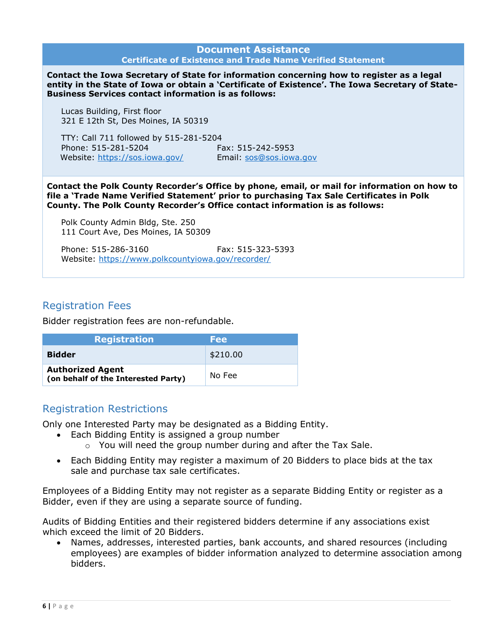|                                                                                                                                                                                                                                                                          | <b>Document Assistance</b>                                                                                                                                                                    |
|--------------------------------------------------------------------------------------------------------------------------------------------------------------------------------------------------------------------------------------------------------------------------|-----------------------------------------------------------------------------------------------------------------------------------------------------------------------------------------------|
|                                                                                                                                                                                                                                                                          | <b>Certificate of Existence and Trade Name Verified Statement</b>                                                                                                                             |
| <b>Business Services contact information is as follows:</b>                                                                                                                                                                                                              | Contact the Iowa Secretary of State for information concerning how to register as a legal<br>entity in the State of Iowa or obtain a 'Certificate of Existence'. The Iowa Secretary of State- |
| Lucas Building, First floor<br>321 E 12th St, Des Moines, IA 50319                                                                                                                                                                                                       |                                                                                                                                                                                               |
| TTY: Call 711 followed by 515-281-5204<br>Phone: 515-281-5204<br>Website: https://sos.iowa.gov/                                                                                                                                                                          | Fax: 515-242-5953<br>Email: sos@sos.iowa.gov                                                                                                                                                  |
| Contact the Polk County Recorder's Office by phone, email, or mail for information on how to<br>file a 'Trade Name Verified Statement' prior to purchasing Tax Sale Certificates in Polk<br>County. The Polk County Recorder's Office contact information is as follows: |                                                                                                                                                                                               |
| Polk County Admin Bldg, Ste. 250<br>111 Court Ave, Des Moines, IA 50309                                                                                                                                                                                                  |                                                                                                                                                                                               |

Phone: 515-286-3160 Fax: 515-323-5393 Website:<https://www.polkcountyiowa.gov/recorder/>

# <span id="page-5-0"></span>Registration Fees

Bidder registration fees are non-refundable.

| <b>Registration</b>                                            | Fee      |
|----------------------------------------------------------------|----------|
| <b>Bidder</b>                                                  | \$210.00 |
| <b>Authorized Agent</b><br>(on behalf of the Interested Party) | No Fee   |

# <span id="page-5-1"></span>Registration Restrictions

Only one Interested Party may be designated as a Bidding Entity.

- Each Bidding Entity is assigned a group number
	- $\circ$  You will need the group number during and after the Tax Sale.
- Each Bidding Entity may register a maximum of 20 Bidders to place bids at the tax sale and purchase tax sale certificates.

Employees of a Bidding Entity may not register as a separate Bidding Entity or register as a Bidder, even if they are using a separate source of funding.

Audits of Bidding Entities and their registered bidders determine if any associations exist which exceed the limit of 20 Bidders.

 Names, addresses, interested parties, bank accounts, and shared resources (including employees) are examples of bidder information analyzed to determine association among bidders.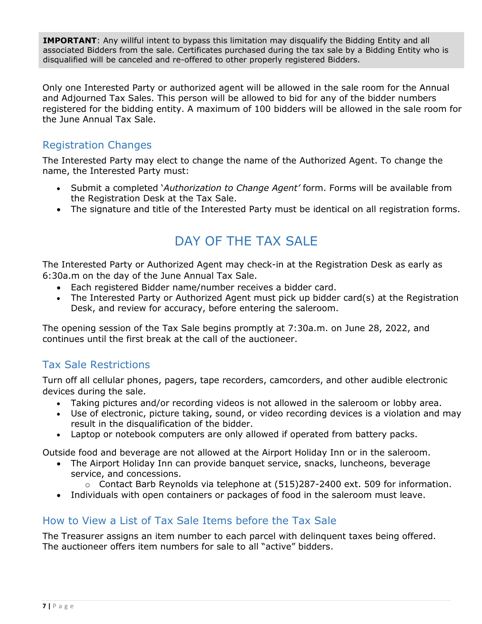**IMPORTANT**: Any willful intent to bypass this limitation may disqualify the Bidding Entity and all associated Bidders from the sale. Certificates purchased during the tax sale by a Bidding Entity who is disqualified will be canceled and re-offered to other properly registered Bidders.

Only one Interested Party or authorized agent will be allowed in the sale room for the Annual and Adjourned Tax Sales. This person will be allowed to bid for any of the bidder numbers registered for the bidding entity. A maximum of 100 bidders will be allowed in the sale room for the June Annual Tax Sale.

# <span id="page-6-0"></span>Registration Changes

The Interested Party may elect to change the name of the Authorized Agent. To change the name, the Interested Party must:

- Submit a completed '*Authorization to Change Agent'* form. Forms will be available from the Registration Desk at the Tax Sale.
- <span id="page-6-1"></span>The signature and title of the Interested Party must be identical on all registration forms.

# DAY OF THE TAX SALE

The Interested Party or Authorized Agent may check-in at the Registration Desk as early as 6:30a.m on the day of the June Annual Tax Sale.

- Each registered Bidder name/number receives a bidder card.
- The Interested Party or Authorized Agent must pick up bidder card(s) at the Registration Desk, and review for accuracy, before entering the saleroom.

The opening session of the Tax Sale begins promptly at 7:30a.m. on June 28, 2022, and continues until the first break at the call of the auctioneer.

# <span id="page-6-2"></span>Tax Sale Restrictions

Turn off all cellular phones, pagers, tape recorders, camcorders, and other audible electronic devices during the sale.

- Taking pictures and/or recording videos is not allowed in the saleroom or lobby area.
- Use of electronic, picture taking, sound, or video recording devices is a violation and may result in the disqualification of the bidder.
- Laptop or notebook computers are only allowed if operated from battery packs.

Outside food and beverage are not allowed at the Airport Holiday Inn or in the saleroom.

- The Airport Holiday Inn can provide banquet service, snacks, luncheons, beverage service, and concessions.
	- o Contact Barb Reynolds via telephone at (515)287-2400 ext. 509 for information.
- Individuals with open containers or packages of food in the saleroom must leave.

# <span id="page-6-3"></span>How to View a List of Tax Sale Items before the Tax Sale

The Treasurer assigns an item number to each parcel with delinquent taxes being offered. The auctioneer offers item numbers for sale to all "active" bidders.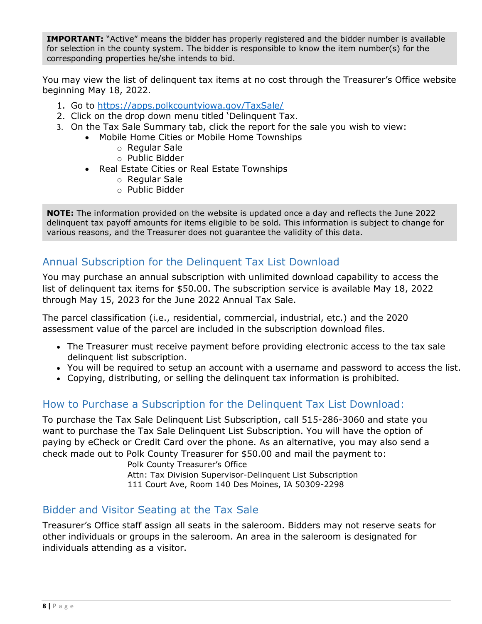**IMPORTANT:** "Active" means the bidder has properly registered and the bidder number is available for selection in the county system. The bidder is responsible to know the item number(s) for the corresponding properties he/she intends to bid.

You may view the list of delinquent tax items at no cost through the Treasurer's Office website beginning May 18, 2022.

- 1. Go to<https://apps.polkcountyiowa.gov/TaxSale/>
- 2. Click on the drop down menu titled 'Delinquent Tax.
- 3. On the Tax Sale Summary tab, click the report for the sale you wish to view:
	- Mobile Home Cities or Mobile Home Townships
		- o Regular Sale
		- o Public Bidder
		- Real Estate Cities or Real Estate Townships
			- o Regular Sale
			- o Public Bidder

**NOTE:** The information provided on the website is updated once a day and reflects the June 2022 delinquent tax payoff amounts for items eligible to be sold. This information is subject to change for various reasons, and the Treasurer does not guarantee the validity of this data.

# <span id="page-7-0"></span>Annual Subscription for the Delinquent Tax List Download

You may purchase an annual subscription with unlimited download capability to access the list of delinquent tax items for \$50.00. The subscription service is available May 18, 2022 through May 15, 2023 for the June 2022 Annual Tax Sale.

The parcel classification (i.e., residential, commercial, industrial, etc.) and the 2020 assessment value of the parcel are included in the subscription download files.

- The Treasurer must receive payment before providing electronic access to the tax sale delinquent list subscription.
- You will be required to setup an account with a username and password to access the list.
- Copying, distributing, or selling the delinquent tax information is prohibited.

# <span id="page-7-1"></span>How to Purchase a Subscription for the Delinquent Tax List Download:

To purchase the Tax Sale Delinquent List Subscription, call 515-286-3060 and state you want to purchase the Tax Sale Delinquent List Subscription. You will have the option of paying by eCheck or Credit Card over the phone. As an alternative, you may also send a check made out to Polk County Treasurer for \$50.00 and mail the payment to:

Polk County Treasurer's Office Attn: Tax Division Supervisor-Delinquent List Subscription 111 Court Ave, Room 140 Des Moines, IA 50309-2298

# <span id="page-7-2"></span>Bidder and Visitor Seating at the Tax Sale

Treasurer's Office staff assign all seats in the saleroom. Bidders may not reserve seats for other individuals or groups in the saleroom. An area in the saleroom is designated for individuals attending as a visitor.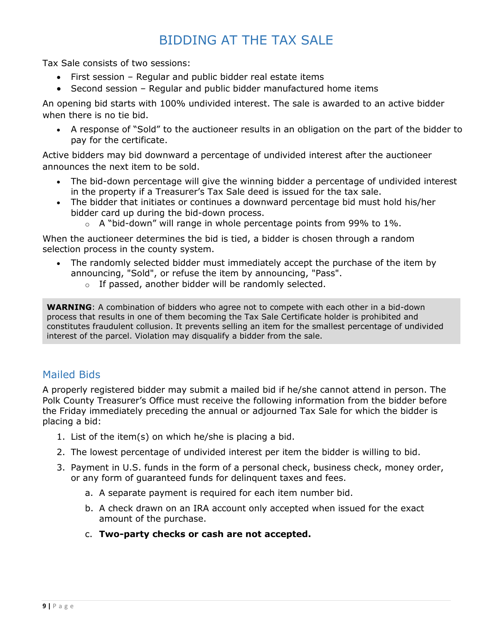# BIDDING AT THE TAX SALE

<span id="page-8-0"></span>Tax Sale consists of two sessions:

- First session Regular and public bidder real estate items
- Second session Regular and public bidder manufactured home items

An opening bid starts with 100% undivided interest. The sale is awarded to an active bidder when there is no tie bid.

 A response of "Sold" to the auctioneer results in an obligation on the part of the bidder to pay for the certificate.

Active bidders may bid downward a percentage of undivided interest after the auctioneer announces the next item to be sold.

- The bid-down percentage will give the winning bidder a percentage of undivided interest in the property if a Treasurer's Tax Sale deed is issued for the tax sale.
- The bidder that initiates or continues a downward percentage bid must hold his/her bidder card up during the bid-down process.
	- $\circ$  A "bid-down" will range in whole percentage points from 99% to 1%.

When the auctioneer determines the bid is tied, a bidder is chosen through a random selection process in the county system.

- The randomly selected bidder must immediately accept the purchase of the item by announcing, "Sold", or refuse the item by announcing, "Pass".
	- o If passed, another bidder will be randomly selected.

**WARNING**: A combination of bidders who agree not to compete with each other in a bid-down process that results in one of them becoming the Tax Sale Certificate holder is prohibited and constitutes fraudulent collusion. It prevents selling an item for the smallest percentage of undivided interest of the parcel. Violation may disqualify a bidder from the sale.

# <span id="page-8-1"></span>Mailed Bids

A properly registered bidder may submit a mailed bid if he/she cannot attend in person. The Polk County Treasurer's Office must receive the following information from the bidder before the Friday immediately preceding the annual or adjourned Tax Sale for which the bidder is placing a bid:

- 1. List of the item(s) on which he/she is placing a bid.
- 2. The lowest percentage of undivided interest per item the bidder is willing to bid.
- 3. Payment in U.S. funds in the form of a personal check, business check, money order, or any form of guaranteed funds for delinquent taxes and fees.
	- a. A separate payment is required for each item number bid.
	- b. A check drawn on an IRA account only accepted when issued for the exact amount of the purchase.
	- c. **Two-party checks or cash are not accepted.**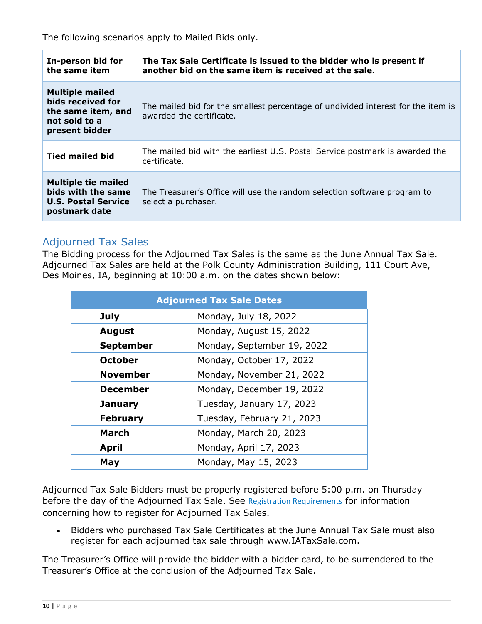The following scenarios apply to Mailed Bids only.

| In-person bid for<br>the same item                                                                   | The Tax Sale Certificate is issued to the bidder who is present if<br>another bid on the same item is received at the sale. |
|------------------------------------------------------------------------------------------------------|-----------------------------------------------------------------------------------------------------------------------------|
| <b>Multiple mailed</b><br>bids received for<br>the same item, and<br>not sold to a<br>present bidder | The mailed bid for the smallest percentage of undivided interest for the item is<br>awarded the certificate.                |
| <b>Tied mailed bid</b>                                                                               | The mailed bid with the earliest U.S. Postal Service postmark is awarded the<br>certificate.                                |
| <b>Multiple tie mailed</b><br>bids with the same<br><b>U.S. Postal Service</b><br>postmark date      | The Treasurer's Office will use the random selection software program to<br>select a purchaser.                             |

# <span id="page-9-0"></span>Adjourned Tax Sales

The Bidding process for the Adjourned Tax Sales is the same as the June Annual Tax Sale. Adjourned Tax Sales are held at the Polk County Administration Building, 111 Court Ave, Des Moines, IA, beginning at 10:00 a.m. on the dates shown below:

|                  | <b>Adjourned Tax Sale Dates</b> |
|------------------|---------------------------------|
| <b>July</b>      | Monday, July 18, 2022           |
| <b>August</b>    | Monday, August 15, 2022         |
| <b>September</b> | Monday, September 19, 2022      |
| <b>October</b>   | Monday, October 17, 2022        |
| <b>November</b>  | Monday, November 21, 2022       |
| <b>December</b>  | Monday, December 19, 2022       |
| <b>January</b>   | Tuesday, January 17, 2023       |
| <b>February</b>  | Tuesday, February 21, 2023      |
| March            | Monday, March 20, 2023          |
| <b>April</b>     | Monday, April 17, 2023          |
| May              | Monday, May 15, 2023            |

Adjourned Tax Sale Bidders must be properly registered before 5:00 p.m. on Thursday before the day of the Adjourned Tax Sale. See [Registration Requirements](#page-3-0) for information concerning how to register for Adjourned Tax Sales.

 Bidders who purchased Tax Sale Certificates at the June Annual Tax Sale must also register for each adjourned tax sale through www.IATaxSale.com.

The Treasurer's Office will provide the bidder with a bidder card, to be surrendered to the Treasurer's Office at the conclusion of the Adjourned Tax Sale.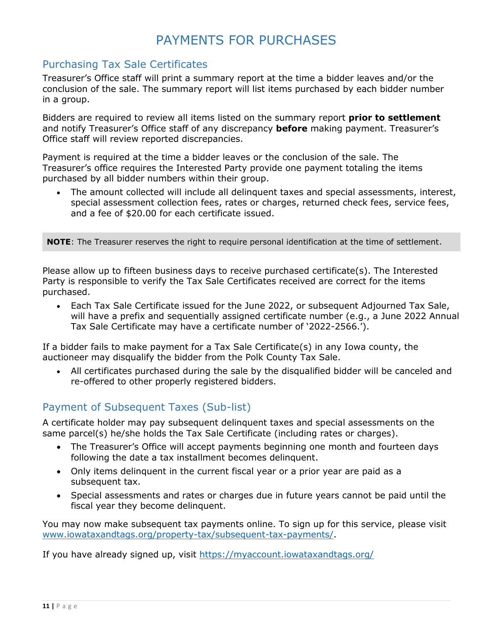# PAYMENTS FOR PURCHASES

# <span id="page-10-1"></span><span id="page-10-0"></span>Purchasing Tax Sale Certificates

Treasurer's Office staff will print a summary report at the time a bidder leaves and/or the conclusion of the sale. The summary report will list items purchased by each bidder number in a group.

Bidders are required to review all items listed on the summary report **prior to settlement** and notify Treasurer's Office staff of any discrepancy **before** making payment. Treasurer's Office staff will review reported discrepancies.

Payment is required at the time a bidder leaves or the conclusion of the sale. The Treasurer's office requires the Interested Party provide one payment totaling the items purchased by all bidder numbers within their group.

 The amount collected will include all delinquent taxes and special assessments, interest, special assessment collection fees, rates or charges, returned check fees, service fees, and a fee of \$20.00 for each certificate issued.

**NOTE**: The Treasurer reserves the right to require personal identification at the time of settlement.

Please allow up to fifteen business days to receive purchased certificate(s). The Interested Party is responsible to verify the Tax Sale Certificates received are correct for the items purchased.

 Each Tax Sale Certificate issued for the June 2022, or subsequent Adjourned Tax Sale, will have a prefix and sequentially assigned certificate number (e.g., a June 2022 Annual Tax Sale Certificate may have a certificate number of '2022-2566.').

If a bidder fails to make payment for a Tax Sale Certificate(s) in any Iowa county, the auctioneer may disqualify the bidder from the Polk County Tax Sale.

 All certificates purchased during the sale by the disqualified bidder will be canceled and re-offered to other properly registered bidders.

# <span id="page-10-2"></span>Payment of Subsequent Taxes (Sub-list)

A certificate holder may pay subsequent delinquent taxes and special assessments on the same parcel(s) he/she holds the Tax Sale Certificate (including rates or charges).

- The Treasurer's Office will accept payments beginning one month and fourteen days following the date a tax installment becomes delinquent.
- Only items delinquent in the current fiscal year or a prior year are paid as a subsequent tax.
- Special assessments and rates or charges due in future years cannot be paid until the fiscal year they become delinquent.

You may now make subsequent tax payments online. To sign up for this service, please visit [www.iowataxandtags.org/property-tax/subsequent-tax-payments/.](http://www.iowataxandtags.org/property-tax/subsequent-tax-payments/)

If you have already signed up, visit<https://myaccount.iowataxandtags.org/>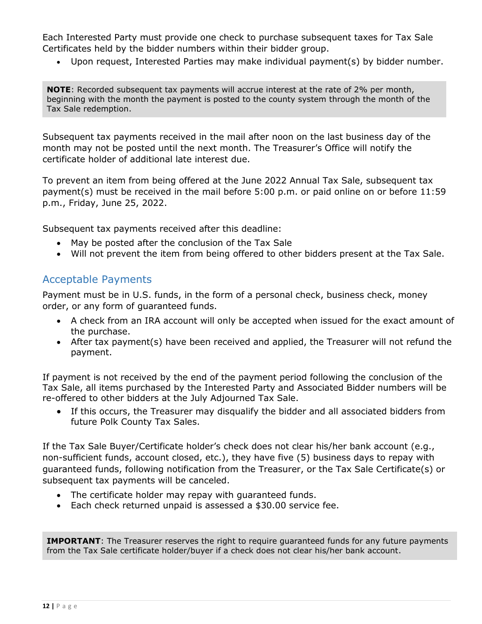Each Interested Party must provide one check to purchase subsequent taxes for Tax Sale Certificates held by the bidder numbers within their bidder group.

Upon request, Interested Parties may make individual payment(s) by bidder number.

**NOTE**: Recorded subsequent tax payments will accrue interest at the rate of 2% per month, beginning with the month the payment is posted to the county system through the month of the Tax Sale redemption.

Subsequent tax payments received in the mail after noon on the last business day of the month may not be posted until the next month. The Treasurer's Office will notify the certificate holder of additional late interest due.

To prevent an item from being offered at the June 2022 Annual Tax Sale, subsequent tax payment(s) must be received in the mail before 5:00 p.m. or paid online on or before 11:59 p.m., Friday, June 25, 2022.

Subsequent tax payments received after this deadline:

- May be posted after the conclusion of the Tax Sale
- Will not prevent the item from being offered to other bidders present at the Tax Sale.

# <span id="page-11-0"></span>Acceptable Payments

Payment must be in U.S. funds, in the form of a personal check, business check, money order, or any form of guaranteed funds.

- A check from an IRA account will only be accepted when issued for the exact amount of the purchase.
- After tax payment(s) have been received and applied, the Treasurer will not refund the payment.

If payment is not received by the end of the payment period following the conclusion of the Tax Sale, all items purchased by the Interested Party and Associated Bidder numbers will be re-offered to other bidders at the July Adjourned Tax Sale.

 If this occurs, the Treasurer may disqualify the bidder and all associated bidders from future Polk County Tax Sales.

If the Tax Sale Buyer/Certificate holder's check does not clear his/her bank account (e.g., non-sufficient funds, account closed, etc.), they have five (5) business days to repay with guaranteed funds, following notification from the Treasurer, or the Tax Sale Certificate(s) or subsequent tax payments will be canceled.

- The certificate holder may repay with guaranteed funds.
- Each check returned unpaid is assessed a \$30.00 service fee.

**IMPORTANT**: The Treasurer reserves the right to require guaranteed funds for any future payments from the Tax Sale certificate holder/buyer if a check does not clear his/her bank account.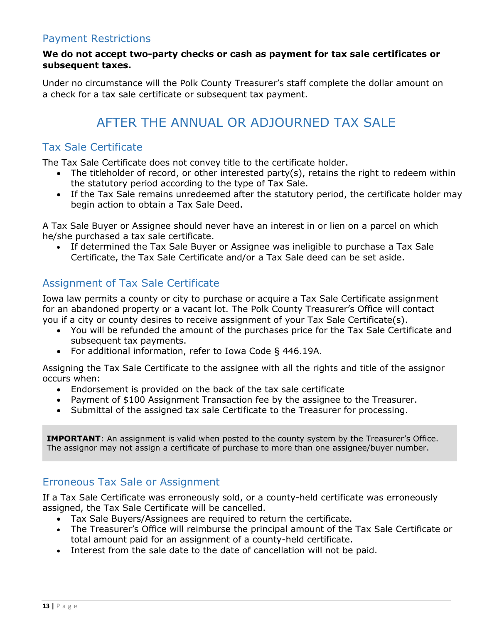# <span id="page-12-0"></span>Payment Restrictions

#### **We do not accept two-party checks or cash as payment for tax sale certificates or subsequent taxes.**

<span id="page-12-1"></span>Under no circumstance will the Polk County Treasurer's staff complete the dollar amount on a check for a tax sale certificate or subsequent tax payment.

# AFTER THE ANNUAL OR ADJOURNED TAX SALE

### <span id="page-12-2"></span>Tax Sale Certificate

The Tax Sale Certificate does not convey title to the certificate holder.

- The titleholder of record, or other interested party(s), retains the right to redeem within the statutory period according to the type of Tax Sale.
- If the Tax Sale remains unredeemed after the statutory period, the certificate holder may begin action to obtain a Tax Sale Deed.

A Tax Sale Buyer or Assignee should never have an interest in or lien on a parcel on which he/she purchased a tax sale certificate.

 If determined the Tax Sale Buyer or Assignee was ineligible to purchase a Tax Sale Certificate, the Tax Sale Certificate and/or a Tax Sale deed can be set aside.

#### <span id="page-12-3"></span>Assignment of Tax Sale Certificate

Iowa law permits a county or city to purchase or acquire a Tax Sale Certificate assignment for an abandoned property or a vacant lot. The Polk County Treasurer's Office will contact you if a city or county desires to receive assignment of your Tax Sale Certificate(s).

- You will be refunded the amount of the purchases price for the Tax Sale Certificate and subsequent tax payments.
- For additional information, refer to Iowa Code § 446.19A.

Assigning the Tax Sale Certificate to the assignee with all the rights and title of the assignor occurs when:

- Endorsement is provided on the back of the tax sale certificate
- Payment of \$100 Assignment Transaction fee by the assignee to the Treasurer.
- Submittal of the assigned tax sale Certificate to the Treasurer for processing.

**IMPORTANT**: An assignment is valid when posted to the county system by the Treasurer's Office. The assignor may not assign a certificate of purchase to more than one assignee/buyer number.

#### <span id="page-12-4"></span>Erroneous Tax Sale or Assignment

If a Tax Sale Certificate was erroneously sold, or a county-held certificate was erroneously assigned, the Tax Sale Certificate will be cancelled.

- Tax Sale Buyers/Assignees are required to return the certificate.
- The Treasurer's Office will reimburse the principal amount of the Tax Sale Certificate or total amount paid for an assignment of a county-held certificate.
- Interest from the sale date to the date of cancellation will not be paid.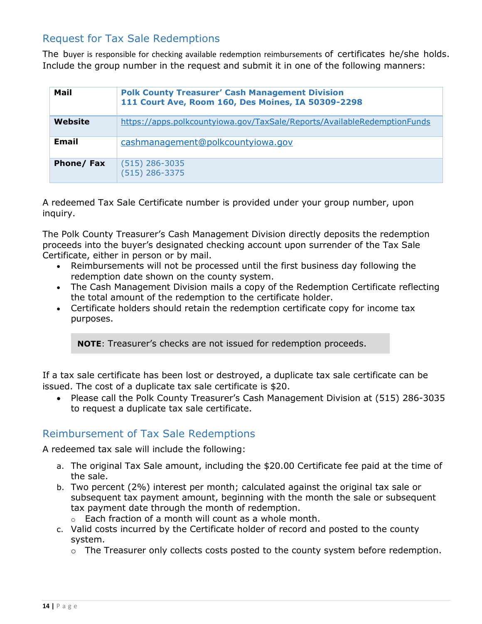# <span id="page-13-0"></span>Request for Tax Sale Redemptions

The buyer is responsible for checking available redemption reimbursements of certificates he/she holds. Include the group number in the request and submit it in one of the following manners:

| Mail      | <b>Polk County Treasurer' Cash Management Division</b><br>111 Court Ave, Room 160, Des Moines, IA 50309-2298 |
|-----------|--------------------------------------------------------------------------------------------------------------|
| Website   | https://apps.polkcountyiowa.gov/TaxSale/Reports/AvailableRedemptionFunds                                     |
| Email     | cashmanagement@polkcountyiowa.gov                                                                            |
| Phone/Fax | $(515)$ 286-3035<br>$(515)$ 286-3375                                                                         |

A redeemed Tax Sale Certificate number is provided under your group number, upon inquiry.

The Polk County Treasurer's Cash Management Division directly deposits the redemption proceeds into the buyer's designated checking account upon surrender of the Tax Sale Certificate, either in person or by mail.

- Reimbursements will not be processed until the first business day following the redemption date shown on the county system.
- The Cash Management Division mails a copy of the Redemption Certificate reflecting the total amount of the redemption to the certificate holder.
- Certificate holders should retain the redemption certificate copy for income tax purposes.

**NOTE**: Treasurer's checks are not issued for redemption proceeds.

If a tax sale certificate has been lost or destroyed, a duplicate tax sale certificate can be issued. The cost of a duplicate tax sale certificate is \$20.

 Please call the Polk County Treasurer's Cash Management Division at (515) 286-3035 to request a duplicate tax sale certificate.

# <span id="page-13-1"></span>Reimbursement of Tax Sale Redemptions

A redeemed tax sale will include the following:

- a. The original Tax Sale amount, including the \$20.00 Certificate fee paid at the time of the sale.
- b. Two percent (2%) interest per month; calculated against the original tax sale or subsequent tax payment amount, beginning with the month the sale or subsequent tax payment date through the month of redemption.
	- $\circ$  Each fraction of a month will count as a whole month.
- c. Valid costs incurred by the Certificate holder of record and posted to the county system.
	- o The Treasurer only collects costs posted to the county system before redemption.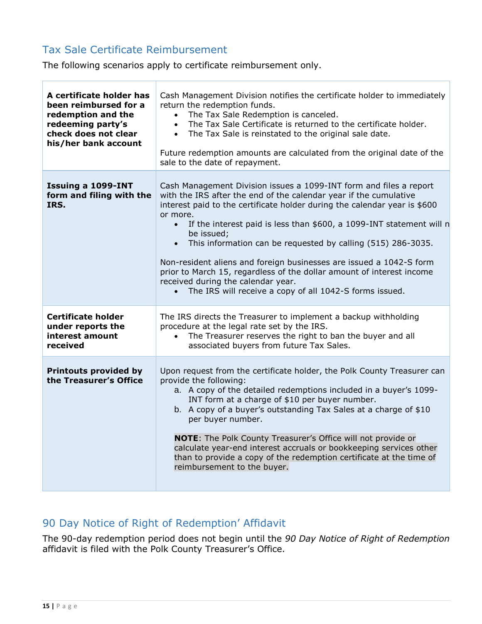# <span id="page-14-0"></span>Tax Sale Certificate Reimbursement

H

The following scenarios apply to certificate reimbursement only.

| A certificate holder has<br>been reimbursed for a<br>redemption and the<br>redeeming party's<br>check does not clear<br>his/her bank account | Cash Management Division notifies the certificate holder to immediately<br>return the redemption funds.<br>The Tax Sale Redemption is canceled.<br>$\bullet$<br>The Tax Sale Certificate is returned to the certificate holder.<br>$\bullet$<br>The Tax Sale is reinstated to the original sale date.<br>$\bullet$<br>Future redemption amounts are calculated from the original date of the<br>sale to the date of repayment.                                                                                                                                                                                                                                                 |
|----------------------------------------------------------------------------------------------------------------------------------------------|--------------------------------------------------------------------------------------------------------------------------------------------------------------------------------------------------------------------------------------------------------------------------------------------------------------------------------------------------------------------------------------------------------------------------------------------------------------------------------------------------------------------------------------------------------------------------------------------------------------------------------------------------------------------------------|
| Issuing a 1099-INT<br>form and filing with the<br>IRS.                                                                                       | Cash Management Division issues a 1099-INT form and files a report<br>with the IRS after the end of the calendar year if the cumulative<br>interest paid to the certificate holder during the calendar year is \$600<br>or more.<br>If the interest paid is less than \$600, a 1099-INT statement will n<br>$\bullet$<br>be issued;<br>This information can be requested by calling (515) 286-3035.<br>$\bullet$<br>Non-resident aliens and foreign businesses are issued a 1042-S form<br>prior to March 15, regardless of the dollar amount of interest income<br>received during the calendar year.<br>The IRS will receive a copy of all 1042-S forms issued.<br>$\bullet$ |
| <b>Certificate holder</b><br>under reports the<br>interest amount<br>received                                                                | The IRS directs the Treasurer to implement a backup withholding<br>procedure at the legal rate set by the IRS.<br>The Treasurer reserves the right to ban the buyer and all<br>$\bullet$<br>associated buyers from future Tax Sales.                                                                                                                                                                                                                                                                                                                                                                                                                                           |
| <b>Printouts provided by</b><br>the Treasurer's Office                                                                                       | Upon request from the certificate holder, the Polk County Treasurer can<br>provide the following:<br>a. A copy of the detailed redemptions included in a buyer's 1099-<br>INT form at a charge of \$10 per buyer number.<br>b. A copy of a buyer's outstanding Tax Sales at a charge of \$10<br>per buyer number.<br><b>NOTE:</b> The Polk County Treasurer's Office will not provide or<br>calculate year-end interest accruals or bookkeeping services other<br>than to provide a copy of the redemption certificate at the time of<br>reimbursement to the buyer.                                                                                                           |

# <span id="page-14-1"></span>90 Day Notice of Right of Redemption' Affidavit

The 90-day redemption period does not begin until the *90 Day Notice of Right of Redemption* affidavit is filed with the Polk County Treasurer's Office.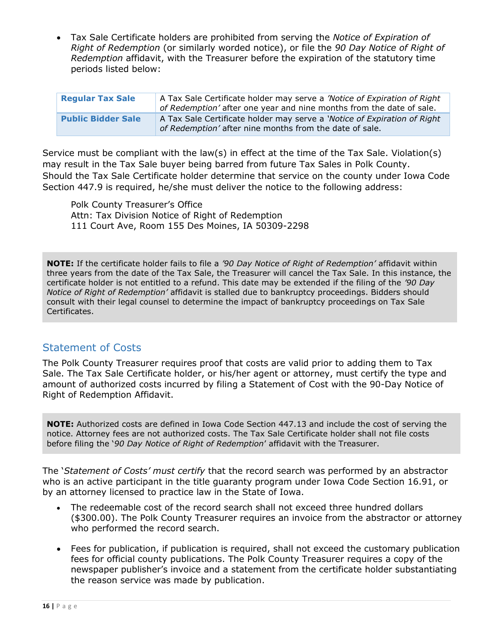Tax Sale Certificate holders are prohibited from serving the *Notice of Expiration of Right of Redemption* (or similarly worded notice), or file the *90 Day Notice of Right of Redemption* affidavit, with the Treasurer before the expiration of the statutory time periods listed below:

| <b>Regular Tax Sale</b>   | A Tax Sale Certificate holder may serve a 'Notice of Expiration of Right<br>of Redemption' after one year and nine months from the date of sale. |
|---------------------------|--------------------------------------------------------------------------------------------------------------------------------------------------|
| <b>Public Bidder Sale</b> | A Tax Sale Certificate holder may serve a 'Notice of Expiration of Right<br>of Redemption' after nine months from the date of sale.              |

Service must be compliant with the law(s) in effect at the time of the Tax Sale. Violation(s) may result in the Tax Sale buyer being barred from future Tax Sales in Polk County. Should the Tax Sale Certificate holder determine that service on the county under Iowa Code Section 447.9 is required, he/she must deliver the notice to the following address:

Polk County Treasurer's Office Attn: Tax Division Notice of Right of Redemption 111 Court Ave, Room 155 Des Moines, IA 50309-2298

**NOTE:** If the certificate holder fails to file a *'90 Day Notice of Right of Redemption'* affidavit within three years from the date of the Tax Sale, the Treasurer will cancel the Tax Sale. In this instance, the certificate holder is not entitled to a refund. This date may be extended if the filing of the *'90 Day Notice of Right of Redemption'* affidavit is stalled due to bankruptcy proceedings. Bidders should consult with their legal counsel to determine the impact of bankruptcy proceedings on Tax Sale Certificates.

# <span id="page-15-0"></span>Statement of Costs

The Polk County Treasurer requires proof that costs are valid prior to adding them to Tax Sale. The Tax Sale Certificate holder, or his/her agent or attorney, must certify the type and amount of authorized costs incurred by filing a Statement of Cost with the 90-Day Notice of Right of Redemption Affidavit.

**NOTE:** Authorized costs are defined in Iowa Code Section 447.13 and include the cost of serving the notice. Attorney fees are not authorized costs. The Tax Sale Certificate holder shall not file costs before filing the '*90 Day Notice of Right of Redemption*' affidavit with the Treasurer.

The '*Statement of Costs' must certify* that the record search was performed by an abstractor who is an active participant in the title guaranty program under Iowa Code Section 16.91, or by an attorney licensed to practice law in the State of Iowa.

- The redeemable cost of the record search shall not exceed three hundred dollars (\$300.00). The Polk County Treasurer requires an invoice from the abstractor or attorney who performed the record search.
- Fees for publication, if publication is required, shall not exceed the customary publication fees for official county publications. The Polk County Treasurer requires a copy of the newspaper publisher's invoice and a statement from the certificate holder substantiating the reason service was made by publication.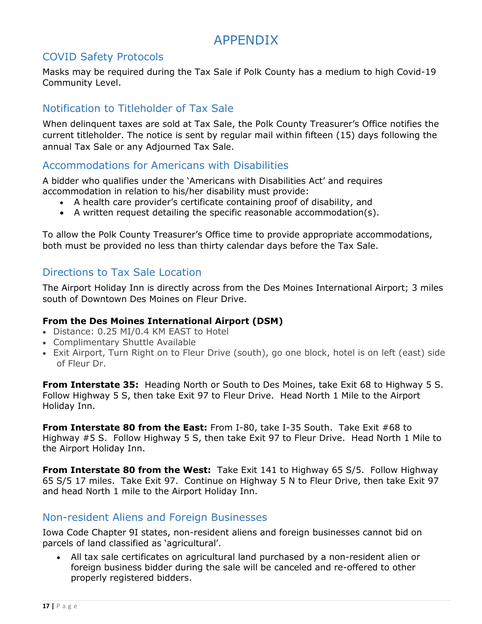# APPENDIX

# <span id="page-16-1"></span><span id="page-16-0"></span>COVID Safety Protocols

Masks may be required during the Tax Sale if Polk County has a medium to high Covid-19 Community Level.

# <span id="page-16-2"></span>Notification to Titleholder of Tax Sale

When delinquent taxes are sold at Tax Sale, the Polk County Treasurer's Office notifies the current titleholder. The notice is sent by regular mail within fifteen (15) days following the annual Tax Sale or any Adjourned Tax Sale.

# <span id="page-16-3"></span>Accommodations for Americans with Disabilities

A bidder who qualifies under the 'Americans with Disabilities Act' and requires accommodation in relation to his/her disability must provide:

- A health care provider's certificate containing proof of disability, and
- $\bullet$  A written request detailing the specific reasonable accommodation(s).

To allow the Polk County Treasurer's Office time to provide appropriate accommodations, both must be provided no less than thirty calendar days before the Tax Sale.

# <span id="page-16-4"></span>Directions to Tax Sale Location

The Airport Holiday Inn is directly across from the Des Moines International Airport; 3 miles south of Downtown Des Moines on Fleur Drive.

#### **From the Des Moines International Airport (DSM)**

- Distance: 0.25 MI/0.4 KM EAST to Hotel
- Complimentary Shuttle Available
- Exit Airport, Turn Right on to Fleur Drive (south), go one block, hotel is on left (east) side of Fleur Dr.

**From Interstate 35:** Heading North or South to Des Moines, take Exit 68 to Highway 5 S. Follow Highway 5 S, then take Exit 97 to Fleur Drive. Head North 1 Mile to the Airport Holiday Inn.

**From Interstate 80 from the East:** From I-80, take I-35 South. Take Exit #68 to Highway #5 S. Follow Highway 5 S, then take Exit 97 to Fleur Drive. Head North 1 Mile to the Airport Holiday Inn.

**From Interstate 80 from the West:** Take Exit 141 to Highway 65 S/5. Follow Highway 65 S/5 17 miles. Take Exit 97. Continue on Highway 5 N to Fleur Drive, then take Exit 97 and head North 1 mile to the Airport Holiday Inn.

# <span id="page-16-5"></span>Non-resident Aliens and Foreign Businesses

Iowa Code Chapter 9I states, non-resident aliens and foreign businesses cannot bid on parcels of land classified as 'agricultural'.

 All tax sale certificates on agricultural land purchased by a non-resident alien or foreign business bidder during the sale will be canceled and re-offered to other properly registered bidders.